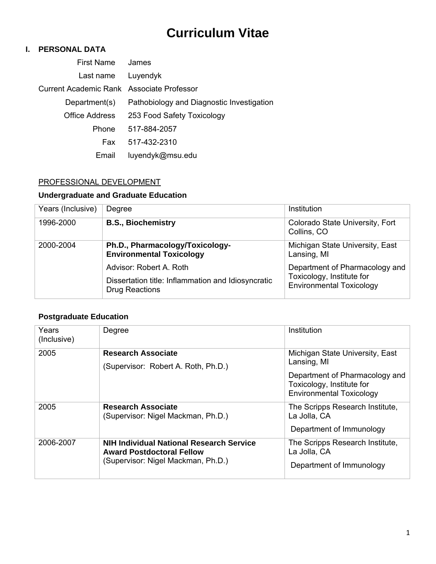# **Curriculum Vitae**

# **I. PERSONAL DATA**

| First Name                                | James                                     |
|-------------------------------------------|-------------------------------------------|
| Last name                                 | Luyendyk                                  |
| Current Academic Rank Associate Professor |                                           |
| Department(s)                             | Pathobiology and Diagnostic Investigation |
| Office Address                            | 253 Food Safety Toxicology                |
| <b>Phone</b>                              | 517-884-2057                              |
| Fax                                       | 517-432-2310                              |
| Email                                     | luyendyk@msu.edu                          |

# PROFESSIONAL DEVELOPMENT

# **Undergraduate and Graduate Education**

| Years (Inclusive) | Degree                                                               | Institution                                                  |
|-------------------|----------------------------------------------------------------------|--------------------------------------------------------------|
| 1996-2000         | <b>B.S., Biochemistry</b>                                            | Colorado State University, Fort<br>Collins, CO               |
| 2000-2004         | Ph.D., Pharmacology/Toxicology-<br><b>Environmental Toxicology</b>   | Michigan State University, East<br>Lansing, MI               |
|                   | Advisor: Robert A. Roth                                              | Department of Pharmacology and                               |
|                   | Dissertation title: Inflammation and Idiosyncratic<br>Drug Reactions | Toxicology, Institute for<br><b>Environmental Toxicology</b> |

### **Postgraduate Education**

| Years<br>(Inclusive) | Degree                                                                                                                    | Institution                                                                                    |
|----------------------|---------------------------------------------------------------------------------------------------------------------------|------------------------------------------------------------------------------------------------|
| 2005                 | <b>Research Associate</b><br>(Supervisor: Robert A. Roth, Ph.D.)                                                          | Michigan State University, East<br>Lansing, MI                                                 |
|                      |                                                                                                                           | Department of Pharmacology and<br>Toxicology, Institute for<br><b>Environmental Toxicology</b> |
| 2005                 | <b>Research Associate</b><br>(Supervisor: Nigel Mackman, Ph.D.)                                                           | The Scripps Research Institute,<br>La Jolla, CA<br>Department of Immunology                    |
| 2006-2007            | <b>NIH Individual National Research Service</b><br><b>Award Postdoctoral Fellow</b><br>(Supervisor: Nigel Mackman, Ph.D.) | The Scripps Research Institute,<br>La Jolla, CA<br>Department of Immunology                    |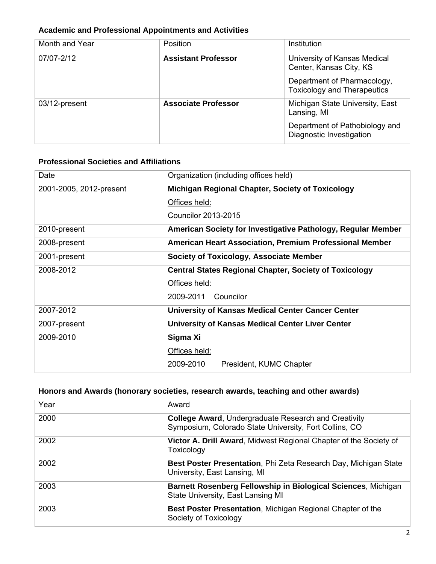# **Academic and Professional Appointments and Activities**

| Month and Year | <b>Position</b>            | Institution                                                       |
|----------------|----------------------------|-------------------------------------------------------------------|
| 07/07-2/12     | <b>Assistant Professor</b> | University of Kansas Medical<br>Center, Kansas City, KS           |
|                |                            | Department of Pharmacology,<br><b>Toxicology and Therapeutics</b> |
| 03/12-present  | <b>Associate Professor</b> | Michigan State University, East<br>Lansing, MI                    |
|                |                            | Department of Pathobiology and<br>Diagnostic Investigation        |

### **Professional Societies and Affiliations**

| Date                    | Organization (including offices held)                          |
|-------------------------|----------------------------------------------------------------|
| 2001-2005, 2012-present | <b>Michigan Regional Chapter, Society of Toxicology</b>        |
|                         | Offices held:                                                  |
|                         | Councilor 2013-2015                                            |
| 2010-present            | American Society for Investigative Pathology, Regular Member   |
| 2008-present            | <b>American Heart Association, Premium Professional Member</b> |
| 2001-present            | Society of Toxicology, Associate Member                        |
| 2008-2012               | <b>Central States Regional Chapter, Society of Toxicology</b>  |
|                         | Offices held:                                                  |
|                         | 2009-2011<br>Councilor                                         |
| 2007-2012               | <b>University of Kansas Medical Center Cancer Center</b>       |
| 2007-present            | University of Kansas Medical Center Liver Center               |
| 2009-2010               | Sigma Xi                                                       |
|                         | Offices held:                                                  |
|                         | 2009-2010<br>President, KUMC Chapter                           |

# **Honors and Awards (honorary societies, research awards, teaching and other awards)**

| Year | Award                                                                                                                 |
|------|-----------------------------------------------------------------------------------------------------------------------|
| 2000 | <b>College Award, Undergraduate Research and Creativity</b><br>Symposium, Colorado State University, Fort Collins, CO |
| 2002 | Victor A. Drill Award, Midwest Regional Chapter of the Society of<br>Toxicology                                       |
| 2002 | Best Poster Presentation, Phi Zeta Research Day, Michigan State<br>University, East Lansing, MI                       |
| 2003 | Barnett Rosenberg Fellowship in Biological Sciences, Michigan<br>State University, East Lansing MI                    |
| 2003 | <b>Best Poster Presentation, Michigan Regional Chapter of the</b><br>Society of Toxicology                            |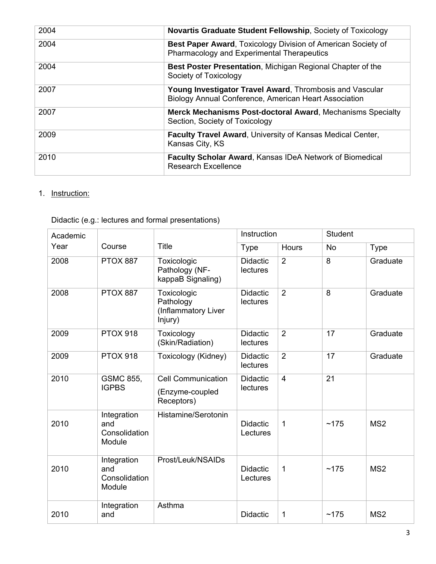| 2004 | Novartis Graduate Student Fellowship, Society of Toxicology                                                       |
|------|-------------------------------------------------------------------------------------------------------------------|
| 2004 | Best Paper Award, Toxicology Division of American Society of<br>Pharmacology and Experimental Therapeutics        |
| 2004 | <b>Best Poster Presentation, Michigan Regional Chapter of the</b><br>Society of Toxicology                        |
| 2007 | Young Investigator Travel Award, Thrombosis and Vascular<br>Biology Annual Conference, American Heart Association |
| 2007 | <b>Merck Mechanisms Post-doctoral Award, Mechanisms Specialty</b><br>Section, Society of Toxicology               |
| 2009 | <b>Faculty Travel Award, University of Kansas Medical Center,</b><br>Kansas City, KS                              |
| 2010 | <b>Faculty Scholar Award, Kansas IDeA Network of Biomedical</b><br><b>Research Excellence</b>                     |

# 1. Instruction:

| Academic |                                               |                                                            |                             | Instruction    |           | <b>Student</b>  |  |
|----------|-----------------------------------------------|------------------------------------------------------------|-----------------------------|----------------|-----------|-----------------|--|
| Year     | Course                                        | Title                                                      | <b>Type</b>                 | Hours          | <b>No</b> | <b>Type</b>     |  |
| 2008     | <b>PTOX 887</b>                               | Toxicologic<br>Pathology (NF-<br>kappaB Signaling)         | <b>Didactic</b><br>lectures | $\overline{2}$ | 8         | Graduate        |  |
| 2008     | <b>PTOX 887</b>                               | Toxicologic<br>Pathology<br>(Inflammatory Liver<br>Injury) | <b>Didactic</b><br>lectures | $\overline{2}$ | 8         | Graduate        |  |
| 2009     | <b>PTOX 918</b>                               | Toxicology<br>(Skin/Radiation)                             | <b>Didactic</b><br>lectures | $\overline{2}$ | 17        | Graduate        |  |
| 2009     | <b>PTOX 918</b>                               | Toxicology (Kidney)                                        | <b>Didactic</b><br>lectures | $\overline{2}$ | 17        | Graduate        |  |
| 2010     | <b>GSMC 855,</b><br><b>IGPBS</b>              | <b>Cell Communication</b><br>(Enzyme-coupled<br>Receptors) | <b>Didactic</b><br>lectures | $\overline{4}$ | 21        |                 |  |
| 2010     | Integration<br>and<br>Consolidation<br>Module | Histamine/Serotonin                                        | <b>Didactic</b><br>Lectures | 1              | ~175      | MS <sub>2</sub> |  |
| 2010     | Integration<br>and<br>Consolidation<br>Module | Prost/Leuk/NSAIDs                                          | <b>Didactic</b><br>Lectures | 1              | ~175      | MS <sub>2</sub> |  |
| 2010     | Integration<br>and                            | Asthma                                                     | <b>Didactic</b>             | 1              | ~175      | MS <sub>2</sub> |  |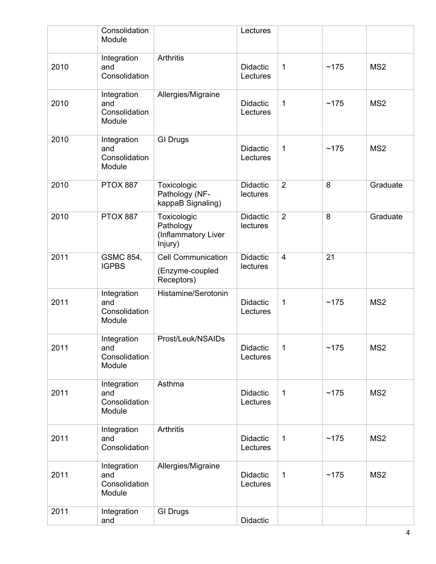|      | Consolidation<br>Module                       |                                                            | Lectures                    |                |      |                 |
|------|-----------------------------------------------|------------------------------------------------------------|-----------------------------|----------------|------|-----------------|
| 2010 | Integration<br>and<br>Consolidation           | <b>Arthritis</b>                                           | <b>Didactic</b><br>Lectures | $\mathbf{1}$   | ~175 | MS <sub>2</sub> |
| 2010 | Integration<br>and<br>Consolidation<br>Module | Allergies/Migraine                                         | <b>Didactic</b><br>Lectures | $\mathbf 1$    | ~175 | MS <sub>2</sub> |
| 2010 | Integration<br>and<br>Consolidation<br>Module | <b>GI Drugs</b>                                            | <b>Didactic</b><br>Lectures | $\mathbf 1$    | ~175 | MS <sub>2</sub> |
| 2010 | <b>PTOX 887</b>                               | Toxicologic<br>Pathology (NF-<br>kappaB Signaling)         | <b>Didactic</b><br>lectures | $\overline{2}$ | 8    | Graduate        |
| 2010 | <b>PTOX 887</b>                               | Toxicologic<br>Pathology<br>(Inflammatory Liver<br>Injury) | <b>Didactic</b><br>lectures | $\overline{2}$ | 8    | Graduate        |
| 2011 | GSMC 854,<br><b>IGPBS</b>                     | <b>Cell Communication</b><br>(Enzyme-coupled<br>Receptors) | <b>Didactic</b><br>lectures | $\overline{4}$ | 21   |                 |
| 2011 | Integration<br>and<br>Consolidation<br>Module | Histamine/Serotonin                                        | <b>Didactic</b><br>Lectures | 1              | ~175 | MS <sub>2</sub> |
| 2011 | Integration<br>and<br>Consolidation<br>Module | Prost/Leuk/NSAIDs                                          | Didactic<br>Lectures        | 1              | ~175 | MS <sub>2</sub> |
| 2011 | Integration<br>and<br>Consolidation<br>Module | Asthma                                                     | <b>Didactic</b><br>Lectures | 1              | ~175 | MS <sub>2</sub> |
| 2011 | Integration<br>and<br>Consolidation           | Arthritis                                                  | <b>Didactic</b><br>Lectures | $\mathbf{1}$   | ~175 | MS <sub>2</sub> |
| 2011 | Integration<br>and<br>Consolidation<br>Module | Allergies/Migraine                                         | <b>Didactic</b><br>Lectures | 1              | ~175 | MS <sub>2</sub> |
| 2011 | Integration<br>and                            | <b>GI Drugs</b>                                            | Didactic                    |                |      |                 |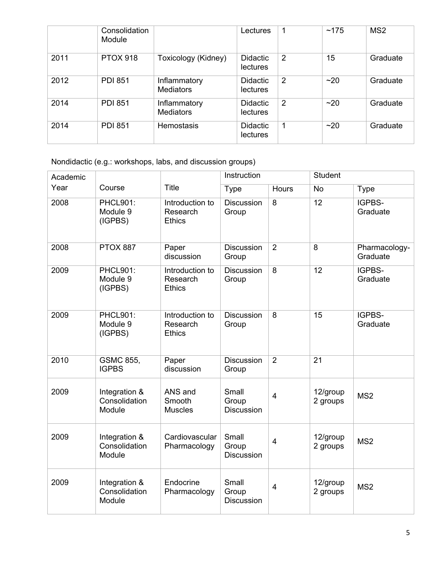|      | Consolidation<br>Module |                                  | Lectures                           | 1              | ~175 | MS <sub>2</sub> |
|------|-------------------------|----------------------------------|------------------------------------|----------------|------|-----------------|
| 2011 | <b>PTOX 918</b>         | Toxicology (Kidney)              | Didactic<br><b>lectures</b>        | $\overline{2}$ | 15   | Graduate        |
| 2012 | <b>PDI 851</b>          | Inflammatory<br><b>Mediators</b> | Didactic<br><b>lectures</b>        | $\overline{2}$ | ~20  | Graduate        |
| 2014 | <b>PDI 851</b>          | Inflammatory<br><b>Mediators</b> | Didactic<br>lectures               | 2              | ~20  | Graduate        |
| 2014 | <b>PDI 851</b>          | <b>Hemostasis</b>                | <b>Didactic</b><br><b>lectures</b> | 1              | ~20  | Graduate        |

Nondidactic (e.g.: workshops, labs, and discussion groups)

| Academic |                                          |                                              | Instruction                         |                | <b>Student</b>       |                           |
|----------|------------------------------------------|----------------------------------------------|-------------------------------------|----------------|----------------------|---------------------------|
| Year     | Course                                   | <b>Title</b>                                 | <b>Type</b>                         | Hours          | <b>No</b>            | <b>Type</b>               |
| 2008     | <b>PHCL901:</b><br>Module 9<br>(IGPBS)   | Introduction to<br>Research<br><b>Ethics</b> | <b>Discussion</b><br>Group          | 8              | 12                   | IGPBS-<br>Graduate        |
| 2008     | <b>PTOX 887</b>                          | Paper<br>discussion                          | <b>Discussion</b><br>Group          | $\overline{2}$ | 8                    | Pharmacology-<br>Graduate |
| 2009     | <b>PHCL901:</b><br>Module 9<br>(IGPBS)   | Introduction to<br>Research<br><b>Ethics</b> | <b>Discussion</b><br>Group          | 8              | 12                   | IGPBS-<br>Graduate        |
| 2009     | <b>PHCL901:</b><br>Module 9<br>(IGPBS)   | Introduction to<br>Research<br><b>Ethics</b> | <b>Discussion</b><br>Group          | 8              | 15                   | IGPBS-<br>Graduate        |
| 2010     | <b>GSMC 855,</b><br><b>IGPBS</b>         | Paper<br>discussion                          | <b>Discussion</b><br>Group          | $\overline{2}$ | 21                   |                           |
| 2009     | Integration &<br>Consolidation<br>Module | ANS and<br>Smooth<br><b>Muscles</b>          | Small<br>Group<br>Discussion        | $\overline{4}$ | 12/group<br>2 groups | MS <sub>2</sub>           |
| 2009     | Integration &<br>Consolidation<br>Module | Cardiovascular<br>Pharmacology               | Small<br>Group<br><b>Discussion</b> | $\overline{4}$ | 12/group<br>2 groups | MS <sub>2</sub>           |
| 2009     | Integration &<br>Consolidation<br>Module | Endocrine<br>Pharmacology                    | Small<br>Group<br><b>Discussion</b> | $\overline{4}$ | 12/group<br>2 groups | MS <sub>2</sub>           |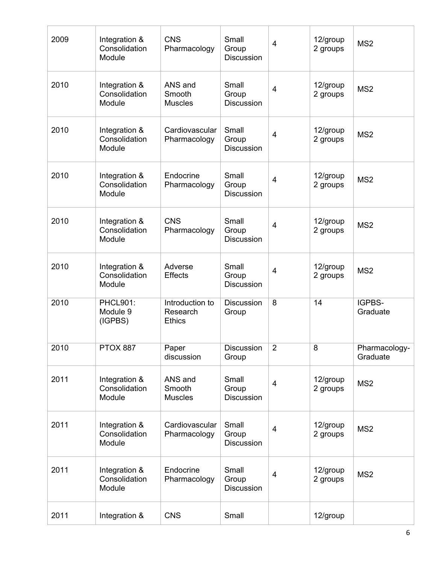| 2009 | Integration &<br>Consolidation<br>Module | <b>CNS</b><br>Pharmacology                   | Small<br>Group<br><b>Discussion</b> | $\overline{4}$          | 12/group<br>2 groups | MS <sub>2</sub>           |
|------|------------------------------------------|----------------------------------------------|-------------------------------------|-------------------------|----------------------|---------------------------|
| 2010 | Integration &<br>Consolidation<br>Module | ANS and<br>Smooth<br><b>Muscles</b>          | Small<br>Group<br><b>Discussion</b> | 4                       | 12/group<br>2 groups | MS <sub>2</sub>           |
| 2010 | Integration &<br>Consolidation<br>Module | Cardiovascular<br>Pharmacology               | Small<br>Group<br><b>Discussion</b> | $\overline{4}$          | 12/group<br>2 groups | MS <sub>2</sub>           |
| 2010 | Integration &<br>Consolidation<br>Module | Endocrine<br>Pharmacology                    | Small<br>Group<br><b>Discussion</b> | 4                       | 12/group<br>2 groups | MS <sub>2</sub>           |
| 2010 | Integration &<br>Consolidation<br>Module | <b>CNS</b><br>Pharmacology                   | Small<br>Group<br><b>Discussion</b> | 4                       | 12/group<br>2 groups | MS <sub>2</sub>           |
| 2010 | Integration &<br>Consolidation<br>Module | Adverse<br><b>Effects</b>                    | Small<br>Group<br><b>Discussion</b> | 4                       | 12/group<br>2 groups | MS <sub>2</sub>           |
| 2010 | <b>PHCL901:</b><br>Module 9<br>(IGPBS)   | Introduction to<br>Research<br><b>Ethics</b> | <b>Discussion</b><br>Group          | 8                       | 14                   | IGPBS-<br>Graduate        |
| 2010 | <b>PTOX 887</b>                          | Paper<br>discussion                          | Discussion<br>Group                 | $\overline{2}$          | 8                    | Pharmacology-<br>Graduate |
| 2011 | Integration &<br>Consolidation<br>Module | ANS and<br>Smooth<br><b>Muscles</b>          | Small<br>Group<br><b>Discussion</b> | $\overline{\mathbf{4}}$ | 12/group<br>2 groups | MS <sub>2</sub>           |
| 2011 | Integration &<br>Consolidation<br>Module | Cardiovascular<br>Pharmacology               | Small<br>Group<br><b>Discussion</b> | $\overline{4}$          | 12/group<br>2 groups | MS <sub>2</sub>           |
| 2011 | Integration &<br>Consolidation<br>Module | Endocrine<br>Pharmacology                    | Small<br>Group<br><b>Discussion</b> | 4                       | 12/group<br>2 groups | MS <sub>2</sub>           |
| 2011 | Integration &                            | <b>CNS</b>                                   | Small                               |                         | 12/group             |                           |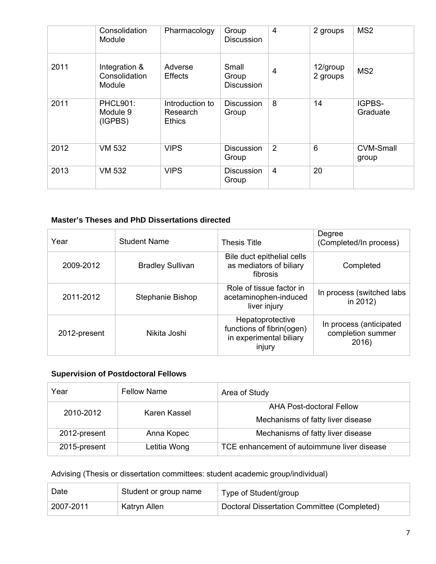|      | Consolidation<br>Module                  | Pharmacology                                 | Group<br><b>Discussion</b>          | 4              | 2 groups             | MS <sub>2</sub>           |
|------|------------------------------------------|----------------------------------------------|-------------------------------------|----------------|----------------------|---------------------------|
| 2011 | Integration &<br>Consolidation<br>Module | Adverse<br><b>Effects</b>                    | Small<br>Group<br><b>Discussion</b> | $\overline{4}$ | 12/group<br>2 groups | MS <sub>2</sub>           |
| 2011 | <b>PHCL901:</b><br>Module 9<br>(IGPBS)   | Introduction to<br>Research<br><b>Ethics</b> | <b>Discussion</b><br>Group          | 8              | 14                   | IGPBS-<br>Graduate        |
| 2012 | <b>VM 532</b>                            | <b>VIPS</b>                                  | <b>Discussion</b><br>Group          | $\overline{2}$ | 6                    | <b>CVM-Small</b><br>group |
| 2013 | <b>VM 532</b>                            | <b>VIPS</b>                                  | <b>Discussion</b><br>Group          | $\overline{4}$ | 20                   |                           |

### **Master's Theses and PhD Dissertations directed**

| Year         | <b>Student Name</b>     | <b>Thesis Title</b>                                                                | Degree<br>(Completed/In process)                      |
|--------------|-------------------------|------------------------------------------------------------------------------------|-------------------------------------------------------|
| 2009-2012    | <b>Bradley Sullivan</b> | Bile duct epithelial cells<br>as mediators of biliary<br>fibrosis                  | Completed                                             |
| 2011-2012    | Stephanie Bishop        | Role of tissue factor in<br>acetaminophen-induced<br>liver injury                  | In process (switched labs<br>in 2012)                 |
| 2012-present | Nikita Joshi            | Hepatoprotective<br>functions of fibrin(ogen)<br>in experimental biliary<br>injury | In process (anticipated<br>completion summer<br>2016) |

# **Supervision of Postdoctoral Fellows**

| Year         | <b>Fellow Name</b> | Area of Study                                                 |
|--------------|--------------------|---------------------------------------------------------------|
| 2010-2012    | Karen Kassel       | AHA Post-doctoral Fellow<br>Mechanisms of fatty liver disease |
| 2012-present | Anna Kopec         | Mechanisms of fatty liver disease                             |
| 2015-present | Letitia Wong       | TCE enhancement of autoimmune liver disease                   |

# Advising (Thesis or dissertation committees: student academic group/individual)

| Date      | Student or group name | Type of Student/group                       |
|-----------|-----------------------|---------------------------------------------|
| 2007-2011 | Katryn Allen          | Doctoral Dissertation Committee (Completed) |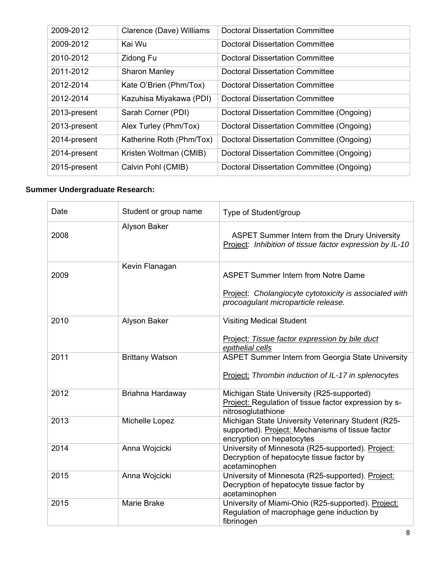| 2009-2012    | Clarence (Dave) Williams | <b>Doctoral Dissertation Committee</b>    |
|--------------|--------------------------|-------------------------------------------|
| 2009-2012    | Kai Wu                   | <b>Doctoral Dissertation Committee</b>    |
| 2010-2012    | Zidong Fu                | <b>Doctoral Dissertation Committee</b>    |
| 2011-2012    | <b>Sharon Manley</b>     | <b>Doctoral Dissertation Committee</b>    |
| 2012-2014    | Kate O'Brien (Phm/Tox)   | Doctoral Dissertation Committee           |
| 2012-2014    | Kazuhisa Miyakawa (PDI)  | <b>Doctoral Dissertation Committee</b>    |
| 2013-present | Sarah Corner (PDI)       | Doctoral Dissertation Committee (Ongoing) |
| 2013-present | Alex Turley (Phm/Tox)    | Doctoral Dissertation Committee (Ongoing) |
| 2014-present | Katherine Roth (Phm/Tox) | Doctoral Dissertation Committee (Ongoing) |
| 2014-present | Kristen Woltman (CMIB)   | Doctoral Dissertation Committee (Ongoing) |
| 2015-present | Calvin Pohl (CMIB)       | Doctoral Dissertation Committee (Ongoing) |

# **Summer Undergraduate Research:**

| Date | Student or group name  | Type of Student/group                                                                                                                       |
|------|------------------------|---------------------------------------------------------------------------------------------------------------------------------------------|
| 2008 | Alyson Baker           | ASPET Summer Intern from the Drury University<br>Project: Inhibition of tissue factor expression by IL-10                                   |
| 2009 | Kevin Flanagan         | <b>ASPET Summer Intern from Notre Dame</b><br>Project: Cholangiocyte cytotoxicity is associated with<br>procoagulant microparticle release. |
| 2010 | Alyson Baker           | <b>Visiting Medical Student</b><br>Project: Tissue factor expression by bile duct<br>epithelial cells                                       |
| 2011 | <b>Brittany Watson</b> | ASPET Summer Intern from Georgia State University<br>Project: Thrombin induction of IL-17 in splenocytes                                    |
| 2012 | Briahna Hardaway       | Michigan State University (R25-supported)<br>Project: Regulation of tissue factor expression by s-<br>nitrosoglutathione                    |
| 2013 | Michelle Lopez         | Michigan State University Veterinary Student (R25-<br>supported). Project: Mechanisms of tissue factor<br>encryption on hepatocytes         |
| 2014 | Anna Wojcicki          | University of Minnesota (R25-supported). Project:<br>Decryption of hepatocyte tissue factor by<br>acetaminophen                             |
| 2015 | Anna Wojcicki          | University of Minnesota (R25-supported). Project:<br>Decryption of hepatocyte tissue factor by<br>acetaminophen                             |
| 2015 | <b>Marie Brake</b>     | University of Miami-Ohio (R25-supported). Project:<br>Regulation of macrophage gene induction by<br>fibrinogen                              |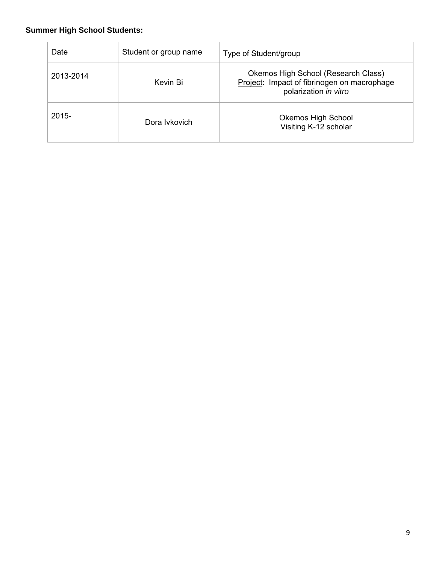# **Summer High School Students:**

| Date      | Student or group name | Type of Student/group                                                                                       |
|-----------|-----------------------|-------------------------------------------------------------------------------------------------------------|
| 2013-2014 | Kevin Bi              | Okemos High School (Research Class)<br>Project: Impact of fibrinogen on macrophage<br>polarization in vitro |
| $2015 -$  | Dora Ivkovich         | <b>Okemos High School</b><br>Visiting K-12 scholar                                                          |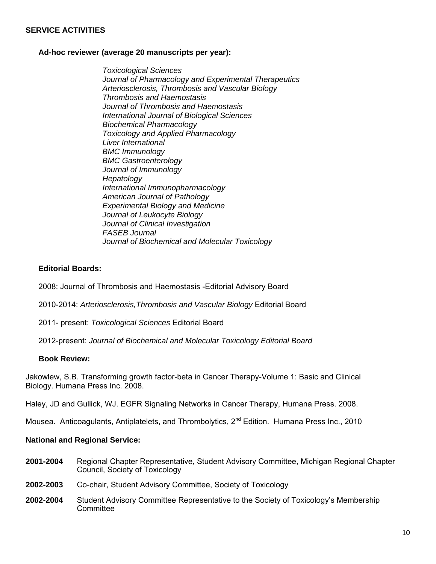#### **SERVICE ACTIVITIES**

#### **Ad-hoc reviewer (average 20 manuscripts per year):**

*Toxicological Sciences Journal of Pharmacology and Experimental Therapeutics Arteriosclerosis, Thrombosis and Vascular Biology Thrombosis and Haemostasis Journal of Thrombosis and Haemostasis International Journal of Biological Sciences Biochemical Pharmacology Toxicology and Applied Pharmacology Liver International BMC Immunology BMC Gastroenterology Journal of Immunology Hepatology International Immunopharmacology American Journal of Pathology Experimental Biology and Medicine Journal of Leukocyte Biology Journal of Clinical Investigation FASEB Journal Journal of Biochemical and Molecular Toxicology* 

#### **Editorial Boards:**

2008: Journal of Thrombosis and Haemostasis -Editorial Advisory Board

2010-2014: *Arteriosclerosis,Thrombosis and Vascular Biology* Editorial Board

2011- present: *Toxicological Sciences* Editorial Board

2012-present: *Journal of Biochemical and Molecular Toxicology Editorial Board*

#### **Book Review:**

Jakowlew, S.B. Transforming growth factor-beta in Cancer Therapy-Volume 1: Basic and Clinical Biology. Humana Press Inc. 2008.

Haley, JD and Gullick, WJ. EGFR Signaling Networks in Cancer Therapy, Humana Press. 2008.

Mousea. Anticoagulants, Antiplatelets, and Thrombolytics, 2<sup>nd</sup> Edition. Humana Press Inc., 2010

#### **National and Regional Service:**

- **2001-2004** Regional Chapter Representative, Student Advisory Committee, Michigan Regional Chapter Council, Society of Toxicology
- **2002-2003** Co-chair, Student Advisory Committee, Society of Toxicology
- **2002-2004** Student Advisory Committee Representative to the Society of Toxicology's Membership **Committee**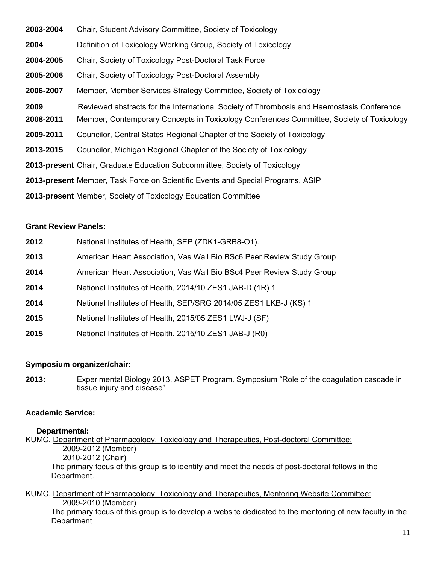| 2003-2004 | Chair, Student Advisory Committee, Society of Toxicology                                  |
|-----------|-------------------------------------------------------------------------------------------|
| 2004      | Definition of Toxicology Working Group, Society of Toxicology                             |
| 2004-2005 | Chair, Society of Toxicology Post-Doctoral Task Force                                     |
| 2005-2006 | Chair, Society of Toxicology Post-Doctoral Assembly                                       |
| 2006-2007 | Member, Member Services Strategy Committee, Society of Toxicology                         |
| 2009      | Reviewed abstracts for the International Society of Thrombosis and Haemostasis Conference |
| 2008-2011 | Member, Contemporary Concepts in Toxicology Conferences Committee, Society of Toxicology  |
| 2009-2011 | Councilor, Central States Regional Chapter of the Society of Toxicology                   |
| 2013-2015 | Councilor, Michigan Regional Chapter of the Society of Toxicology                         |
|           | <b>2013-present</b> Chair, Graduate Education Subcommittee, Society of Toxicology         |
|           | 2013-present Member, Task Force on Scientific Events and Special Programs, ASIP           |
|           | 2013-present Member, Society of Toxicology Education Committee                            |

#### **Grant Review Panels:**

| 2012 | National Institutes of Health, SEP (ZDK1-GRB8-O1).                    |
|------|-----------------------------------------------------------------------|
| 2013 | American Heart Association, Vas Wall Bio BSc6 Peer Review Study Group |
| 2014 | American Heart Association, Vas Wall Bio BSc4 Peer Review Study Group |
| 2014 | National Institutes of Health, 2014/10 ZES1 JAB-D (1R) 1              |
| 2014 | National Institutes of Health, SEP/SRG 2014/05 ZES1 LKB-J (KS) 1      |
| 2015 | National Institutes of Health, 2015/05 ZES1 LWJ-J (SF)                |
| 2015 | National Institutes of Health, 2015/10 ZES1 JAB-J (R0)                |

### **Symposium organizer/chair:**

**2013:** Experimental Biology 2013, ASPET Program. Symposium "Role of the coagulation cascade in tissue injury and disease"

### **Academic Service:**

#### **Departmental:**

KUMC, Department of Pharmacology, Toxicology and Therapeutics, Post-doctoral Committee: 2009-2012 (Member) 2010-2012 (Chair) The primary focus of this group is to identify and meet the needs of post-doctoral fellows in the Department.

#### KUMC, Department of Pharmacology, Toxicology and Therapeutics, Mentoring Website Committee: 2009-2010 (Member) The primary focus of this group is to develop a website dedicated to the mentoring of new faculty in the **Department**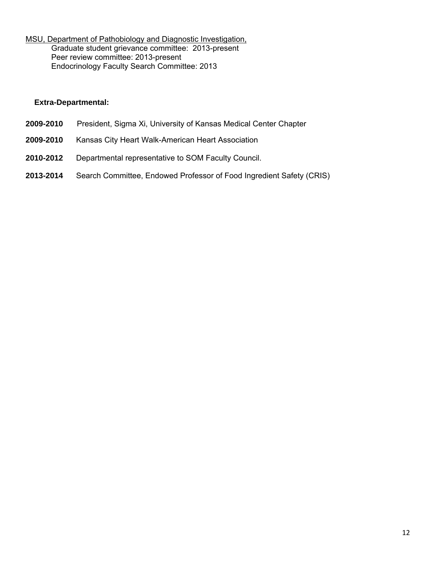MSU, Department of Pathobiology and Diagnostic Investigation, Graduate student grievance committee: 2013-present Peer review committee: 2013-present Endocrinology Faculty Search Committee: 2013

#### **Extra-Departmental:**

- **2009-2010** President, Sigma Xi, University of Kansas Medical Center Chapter
- **2009-2010** Kansas City Heart Walk-American Heart Association
- **2010-2012** Departmental representative to SOM Faculty Council.
- **2013-2014** Search Committee, Endowed Professor of Food Ingredient Safety (CRIS)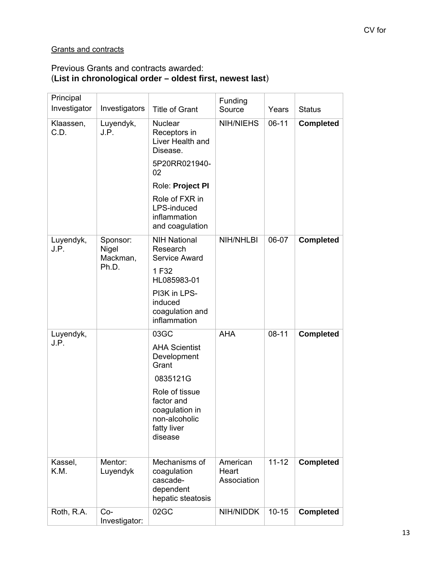# **Grants and contracts**

### Previous Grants and contracts awarded: (**List in chronological order – oldest first, newest last**)

| Principal<br>Investigator            | Investigators                          | <b>Title of Grant</b>                                                                                                                                                          | Funding<br>Source               | Years                  | <b>Status</b>                        |
|--------------------------------------|----------------------------------------|--------------------------------------------------------------------------------------------------------------------------------------------------------------------------------|---------------------------------|------------------------|--------------------------------------|
| Klaassen,<br>C.D.                    | Luyendyk,<br>J.P.                      | <b>Nuclear</b><br>Receptors in<br>Liver Health and<br>Disease.<br>5P20RR021940-<br>02<br>Role: Project PI<br>Role of FXR in<br>LPS-induced<br>inflammation<br>and coagulation  | <b>NIH/NIEHS</b>                | $06-11$                | <b>Completed</b>                     |
| Luyendyk,<br>J.P.                    | Sponsor:<br>Nigel<br>Mackman,<br>Ph.D. | <b>NIH National</b><br>Research<br><b>Service Award</b><br>1F32<br>HL085983-01<br>PI3K in LPS-<br>induced<br>coagulation and<br>inflammation                                   | <b>NIH/NHLBI</b>                | 06-07                  | <b>Completed</b>                     |
| Luyendyk,<br>J.P.<br>Kassel,<br>K.M. | Mentor:<br>Luyendyk                    | 03GC<br><b>AHA Scientist</b><br>Development<br>Grant<br>0835121G<br>Role of tissue<br>factor and<br>coagulation in<br>non-alcoholic<br>fatty liver<br>disease<br>Mechanisms of | <b>AHA</b><br>American<br>Heart | $08 - 11$<br>$11 - 12$ | <b>Completed</b><br><b>Completed</b> |
|                                      |                                        | coagulation<br>cascade-<br>dependent<br>hepatic steatosis                                                                                                                      | Association                     |                        |                                      |
| Roth, R.A.                           | $Co-$<br>Investigator:                 | 02GC                                                                                                                                                                           | NIH/NIDDK                       | $10 - 15$              | <b>Completed</b>                     |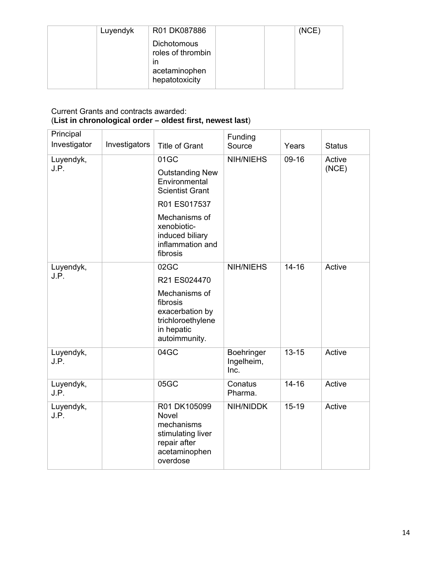| Luyendyk | R01 DK087886                                                                     | (NCE) |
|----------|----------------------------------------------------------------------------------|-------|
|          | <b>Dichotomous</b><br>roles of thrombin<br>ın<br>acetaminophen<br>hepatotoxicity |       |

### Current Grants and contracts awarded: (**List in chronological order – oldest first, newest last**)

| Principal<br>Investigator | Investigators | <b>Title of Grant</b>                                                                                                                                                        | Funding<br>Source                | Years     | <b>Status</b>   |
|---------------------------|---------------|------------------------------------------------------------------------------------------------------------------------------------------------------------------------------|----------------------------------|-----------|-----------------|
| Luyendyk,<br>J.P.         |               | 01GC<br><b>Outstanding New</b><br>Environmental<br><b>Scientist Grant</b><br>R01 ES017537<br>Mechanisms of<br>xenobiotic-<br>induced biliary<br>inflammation and<br>fibrosis | <b>NIH/NIEHS</b>                 | $09-16$   | Active<br>(NCE) |
| Luyendyk,<br>J.P.         |               | 02GC<br>R21 ES024470<br>Mechanisms of<br>fibrosis<br>exacerbation by<br>trichloroethylene<br>in hepatic<br>autoimmunity.                                                     | <b>NIH/NIEHS</b>                 | $14 - 16$ | Active          |
| Luyendyk,<br>J.P.         |               | 04GC                                                                                                                                                                         | Boehringer<br>Ingelheim,<br>Inc. | $13 - 15$ | Active          |
| Luyendyk,<br>J.P.         |               | 05GC                                                                                                                                                                         | Conatus<br>Pharma.               | $14 - 16$ | Active          |
| Luyendyk,<br>J.P.         |               | R01 DK105099<br><b>Novel</b><br>mechanisms<br>stimulating liver<br>repair after<br>acetaminophen<br>overdose                                                                 | NIH/NIDDK                        | $15 - 19$ | Active          |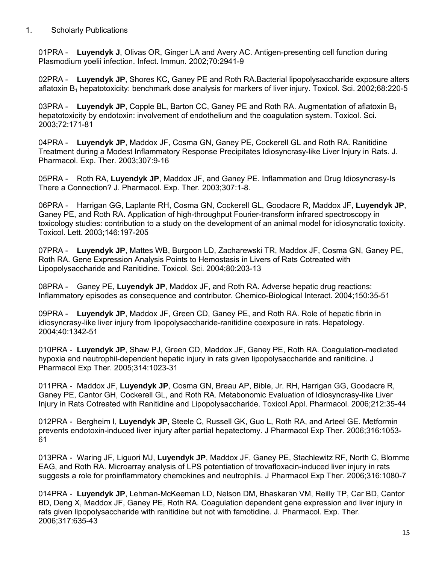### 1. Scholarly Publications

01PRA - **Luyendyk J**, Olivas OR, Ginger LA and Avery AC. Antigen-presenting cell function during Plasmodium yoelii infection. Infect. Immun. 2002;70:2941-9

02PRA - **Luyendyk JP**, Shores KC, Ganey PE and Roth RA.Bacterial lipopolysaccharide exposure alters aflatoxin  $B_1$  hepatotoxicity: benchmark dose analysis for markers of liver injury. Toxicol. Sci. 2002;68:220-5

03PRA - Luvendyk JP, Copple BL, Barton CC, Ganey PE and Roth RA. Augmentation of aflatoxin B<sub>1</sub> hepatotoxicity by endotoxin: involvement of endothelium and the coagulation system. Toxicol. Sci. 2003;72:171-81

04PRA - **Luyendyk JP**, Maddox JF, Cosma GN, Ganey PE, Cockerell GL and Roth RA. Ranitidine Treatment during a Modest Inflammatory Response Precipitates Idiosyncrasy-like Liver Injury in Rats. J. Pharmacol. Exp. Ther. 2003;307:9-16

05PRA - Roth RA, **Luyendyk JP**, Maddox JF, and Ganey PE. Inflammation and Drug Idiosyncrasy-Is There a Connection? J. Pharmacol. Exp. Ther. 2003;307:1-8.

06PRA - Harrigan GG, Laplante RH, Cosma GN, Cockerell GL, Goodacre R, Maddox JF, **Luyendyk JP**, Ganey PE, and Roth RA. Application of high-throughput Fourier-transform infrared spectroscopy in toxicology studies: contribution to a study on the development of an animal model for idiosyncratic toxicity. Toxicol. Lett. 2003;146:197-205

07PRA - **Luyendyk JP**, Mattes WB, Burgoon LD, Zacharewski TR, Maddox JF, Cosma GN, Ganey PE, Roth RA. Gene Expression Analysis Points to Hemostasis in Livers of Rats Cotreated with Lipopolysaccharide and Ranitidine. Toxicol. Sci. 2004;80:203-13

08PRA - Ganey PE, **Luyendyk JP**, Maddox JF, and Roth RA. Adverse hepatic drug reactions: Inflammatory episodes as consequence and contributor. Chemico-Biological Interact. 2004;150:35-51

09PRA - **Luyendyk JP**, Maddox JF, Green CD, Ganey PE, and Roth RA. Role of hepatic fibrin in idiosyncrasy-like liver injury from lipopolysaccharide-ranitidine coexposure in rats. Hepatology. 2004;40:1342-51

010PRA - **Luyendyk JP**, Shaw PJ, Green CD, Maddox JF, Ganey PE, Roth RA. Coagulation-mediated hypoxia and neutrophil-dependent hepatic injury in rats given lipopolysaccharide and ranitidine. J Pharmacol Exp Ther. 2005;314:1023-31

011PRA - Maddox JF, **Luyendyk JP**, Cosma GN, Breau AP, Bible, Jr. RH, Harrigan GG, Goodacre R, Ganey PE, Cantor GH, Cockerell GL, and Roth RA. Metabonomic Evaluation of Idiosyncrasy-like Liver Injury in Rats Cotreated with Ranitidine and Lipopolysaccharide. Toxicol Appl. Pharmacol. 2006;212:35-44

012PRA - Bergheim I, **Luyendyk JP**, Steele C, Russell GK, Guo L, Roth RA, and Arteel GE. Metformin prevents endotoxin-induced liver injury after partial hepatectomy. J Pharmacol Exp Ther. 2006;316:1053- 61

013PRA - Waring JF, Liguori MJ, **Luyendyk JP**, Maddox JF, Ganey PE, Stachlewitz RF, North C, Blomme EAG, and Roth RA. Microarray analysis of LPS potentiation of trovafloxacin-induced liver injury in rats suggests a role for proinflammatory chemokines and neutrophils. J Pharmacol Exp Ther. 2006;316:1080-7

014PRA - **Luyendyk JP**, Lehman-McKeeman LD, Nelson DM, Bhaskaran VM, Reilly TP, Car BD, Cantor BD, Deng X, Maddox JF, Ganey PE, Roth RA. Coagulation dependent gene expression and liver injury in rats given lipopolysaccharide with ranitidine but not with famotidine. J. Pharmacol. Exp. Ther. 2006;317:635-43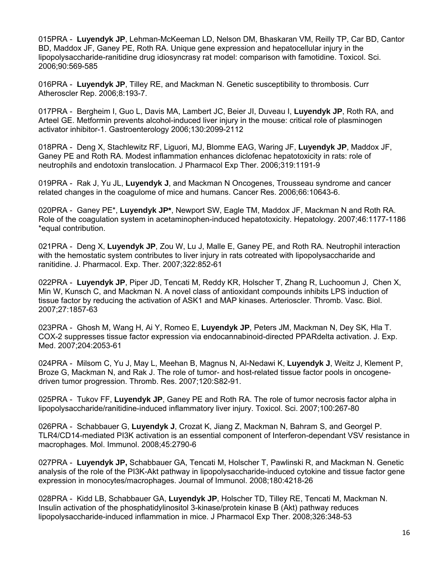015PRA - **Luyendyk JP**, Lehman-McKeeman LD, Nelson DM, Bhaskaran VM, Reilly TP, Car BD, Cantor BD, Maddox JF, Ganey PE, Roth RA. Unique gene expression and hepatocellular injury in the lipopolysaccharide-ranitidine drug idiosyncrasy rat model: comparison with famotidine. Toxicol. Sci. 2006;90:569-585

016PRA - **Luyendyk JP**, Tilley RE, and Mackman N. Genetic susceptibility to thrombosis. Curr Atheroscler Rep. 2006;8:193-7.

017PRA - Bergheim I, Guo L, Davis MA, Lambert JC, Beier JI, Duveau I, **Luyendyk JP**, Roth RA, and Arteel GE. Metformin prevents alcohol-induced liver injury in the mouse: critical role of plasminogen activator inhibitor-1. Gastroenterology 2006;130:2099-2112

018PRA - Deng X, Stachlewitz RF, Liguori, MJ, Blomme EAG, Waring JF, **Luyendyk JP**, Maddox JF, Ganey PE and Roth RA. Modest inflammation enhances diclofenac hepatotoxicity in rats: role of neutrophils and endotoxin translocation. J Pharmacol Exp Ther. 2006;319:1191-9

019PRA - Rak J, Yu JL, **Luyendyk J**, and Mackman N Oncogenes, Trousseau syndrome and cancer related changes in the coagulome of mice and humans. Cancer Res. 2006;66:10643-6.

020PRA - Ganey PE\*, **Luyendyk JP\***, Newport SW, Eagle TM, Maddox JF, Mackman N and Roth RA. Role of the coagulation system in acetaminophen-induced hepatotoxicity. Hepatology. 2007;46:1177-1186 \*equal contribution.

021PRA - Deng X, **Luyendyk JP**, Zou W, Lu J, Malle E, Ganey PE, and Roth RA. Neutrophil interaction with the hemostatic system contributes to liver injury in rats cotreated with lipopolysaccharide and ranitidine. J. Pharmacol. Exp. Ther. 2007;322:852-61

022PRA - **Luyendyk JP**, Piper JD, Tencati M, Reddy KR, Holscher T, Zhang R, Luchoomun J, Chen X, Min W, Kunsch C, and Mackman N. A novel class of antioxidant compounds inhibits LPS induction of tissue factor by reducing the activation of ASK1 and MAP kinases. Arterioscler. Thromb. Vasc. Biol. 2007;27:1857-63

023PRA - Ghosh M, Wang H, Ai Y, Romeo E, **Luyendyk JP**, Peters JM, Mackman N, Dey SK, Hla T. COX-2 suppresses tissue factor expression via endocannabinoid-directed PPARdelta activation. J. Exp. Med. 2007;204:2053-61

024PRA - Milsom C, Yu J, May L, Meehan B, Magnus N, Al-Nedawi K, **Luyendyk J**, Weitz J, Klement P, Broze G, Mackman N, and Rak J. The role of tumor- and host-related tissue factor pools in oncogenedriven tumor progression. Thromb. Res. 2007;120:S82-91.

025PRA - Tukov FF, **Luyendyk JP**, Ganey PE and Roth RA. The role of tumor necrosis factor alpha in lipopolysaccharide/ranitidine-induced inflammatory liver injury. Toxicol. Sci. 2007;100:267-80

026PRA - Schabbauer G, **Luyendyk J**, Crozat K, Jiang Z, Mackman N, Bahram S, and Georgel P. TLR4/CD14-mediated PI3K activation is an essential component of Interferon-dependant VSV resistance in macrophages. Mol. Immunol. 2008;45:2790-6

027PRA - **Luyendyk JP,** Schabbauer GA, Tencati M, Holscher T, Pawlinski R, and Mackman N. Genetic analysis of the role of the PI3K-Akt pathway in lipopolysaccharide-induced cytokine and tissue factor gene expression in monocytes/macrophages. Journal of Immunol. 2008;180:4218-26

028PRA - Kidd LB, Schabbauer GA, **Luyendyk JP**, Holscher TD, Tilley RE, Tencati M, Mackman N. Insulin activation of the phosphatidylinositol 3-kinase/protein kinase B (Akt) pathway reduces lipopolysaccharide-induced inflammation in mice. J Pharmacol Exp Ther. 2008;326:348-53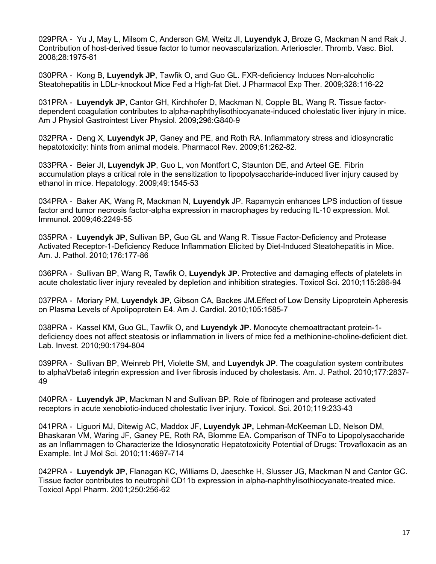029PRA - Yu J, May L, Milsom C, Anderson GM, Weitz JI, **Luyendyk J**, Broze G, Mackman N and Rak J. Contribution of host-derived tissue factor to tumor neovascularization. Arterioscler. Thromb. Vasc. Biol. 2008;28:1975-81

030PRA - Kong B, **Luyendyk JP**, Tawfik O, and Guo GL. FXR-deficiency Induces Non-alcoholic Steatohepatitis in LDLr-knockout Mice Fed a High-fat Diet. J Pharmacol Exp Ther. 2009;328:116-22

031PRA - **Luyendyk JP**, Cantor GH, Kirchhofer D, Mackman N, Copple BL, Wang R. Tissue factordependent coagulation contributes to alpha-naphthylisothiocyanate-induced cholestatic liver injury in mice. Am J Physiol Gastrointest Liver Physiol. 2009;296:G840-9

032PRA - Deng X, **Luyendyk JP**, Ganey and PE, and Roth RA. Inflammatory stress and idiosyncratic hepatotoxicity: hints from animal models. Pharmacol Rev. 2009;61:262-82.

033PRA - Beier JI, **Luyendyk JP**, Guo L, von Montfort C, Staunton DE, and Arteel GE. Fibrin accumulation plays a critical role in the sensitization to lipopolysaccharide-induced liver injury caused by ethanol in mice. Hepatology. 2009;49:1545-53

034PRA - Baker AK, Wang R, Mackman N, **Luyendyk** JP. Rapamycin enhances LPS induction of tissue factor and tumor necrosis factor-alpha expression in macrophages by reducing IL-10 expression. Mol. Immunol. 2009;46:2249-55

035PRA - **Luyendyk JP**, Sullivan BP, Guo GL and Wang R. Tissue Factor-Deficiency and Protease Activated Receptor-1-Deficiency Reduce Inflammation Elicited by Diet-Induced Steatohepatitis in Mice. Am. J. Pathol. 2010;176:177-86

036PRA - Sullivan BP, Wang R, Tawfik O, **Luyendyk JP**. Protective and damaging effects of platelets in acute cholestatic liver injury revealed by depletion and inhibition strategies. Toxicol Sci. 2010;115:286-94

037PRA - Moriary PM, **Luyendyk JP**, Gibson CA, Backes JM.Effect of Low Density Lipoprotein Apheresis on Plasma Levels of Apolipoprotein E4. Am J. Cardiol. 2010;105:1585-7

038PRA - Kassel KM, Guo GL, Tawfik O, and **Luyendyk JP**. Monocyte chemoattractant protein-1 deficiency does not affect steatosis or inflammation in livers of mice fed a methionine-choline-deficient diet. Lab. Invest. 2010;90:1794-804

039PRA - Sullivan BP, Weinreb PH, Violette SM, and **Luyendyk JP**. The coagulation system contributes to alphaVbeta6 integrin expression and liver fibrosis induced by cholestasis. Am. J. Pathol. 2010;177:2837- 49

040PRA - **Luyendyk JP**, Mackman N and Sullivan BP. Role of fibrinogen and protease activated receptors in acute xenobiotic-induced cholestatic liver injury. Toxicol. Sci. 2010;119:233-43

041PRA - Liguori MJ, Ditewig AC, Maddox JF, **Luyendyk JP,** Lehman-McKeeman LD, Nelson DM, Bhaskaran VM, Waring JF, Ganey PE, Roth RA, Blomme EA. Comparison of TNFα to Lipopolysaccharide as an Inflammagen to Characterize the Idiosyncratic Hepatotoxicity Potential of Drugs: Trovafloxacin as an Example. Int J Mol Sci. 2010;11:4697-714

042PRA - **Luyendyk JP**, Flanagan KC, Williams D, Jaeschke H, Slusser JG, Mackman N and Cantor GC. Tissue factor contributes to neutrophil CD11b expression in alpha-naphthylisothiocyanate-treated mice. Toxicol Appl Pharm. 2001;250:256-62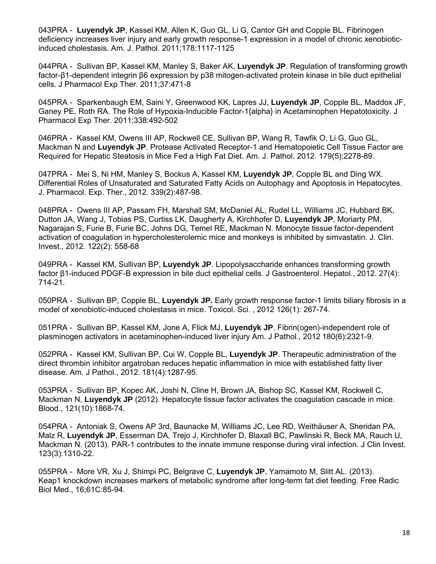043PRA - **Luyendyk JP**, Kassel KM, Allen K, Guo GL, Li G, Cantor GH and Copple BL. Fibrinogen deficiency increases liver injury and early growth response-1 expression in a model of chronic xenobioticinduced cholestasis. Am. J. Pathol. 2011;178:1117-1125

044PRA - Sullivan BP, Kassel KM, Manley S, Baker AK, **Luyendyk JP**. Regulation of transforming growth factor-β1-dependent integrin β6 expression by p38 mitogen-activated protein kinase in bile duct epithelial cells. J Pharmacol Exp Ther. 2011;37:471-8

045PRA - Sparkenbaugh EM, Saini Y, Greenwood KK, Lapres JJ, **Luyendyk JP**, Copple BL, Maddox JF, Ganey PE, Roth RA. The Role of Hypoxia-Inducible Factor-1{alpha} in Acetaminophen Hepatotoxicity. J Pharmacol Exp Ther. 2011;338:492-502

046PRA - Kassel KM, Owens III AP, Rockwell CE, Sullivan BP, Wang R, Tawfik O, Li G, Guo GL, Mackman N and **Luyendyk JP**. Protease Activated Receptor-1 and Hematopoietic Cell Tissue Factor are Required for Hepatic Steatosis in Mice Fed a High Fat Diet. Am. J. Pathol. 2012. 179(5):2278-89.

047PRA - Mei S, Ni HM, Manley S, Bockus A, Kassel KM, **Luyendyk JP**, Copple BL and Ding WX. Differential Roles of Unsaturated and Saturated Fatty Acids on Autophagy and Apoptosis in Hepatocytes. J. Pharmacol. Exp. Ther., 2012. 339(2):487-98.

048PRA - Owens III AP, Passam FH, Marshall SM, McDaniel AL, Rudel LL, Williams JC, Hubbard BK, Dutton JA, Wang J, Tobias PS, Curtiss LK, Daugherty A, Kirchhofer D, **Luyendyk JP**, Moriarty PM, Nagarajan S, Furie B, Furie BC, Johns DG, Temel RE, Mackman N. Monocyte tissue factor-dependent activation of coagulation in hypercholesterolemic mice and monkeys is inhibited by simvastatin. J. Clin. Invest., 2012. 122(2): 558-68

049PRA - Kassel KM, Sullivan BP, **Luyendyk JP**. Lipopolysaccharide enhances transforming growth factor β1-induced PDGF-B expression in bile duct epithelial cells. J Gastroenterol. Hepatol., 2012. 27(4): 714-21.

050PRA - Sullivan BP, Copple BL, **Luyendyk JP.** Early growth response factor-1 limits biliary fibrosis in a model of xenobiotic-induced cholestasis in mice. Toxicol. Sci. , 2012 126(1): 267-74.

051PRA - Sullivan BP, Kassel KM, Jone A, Flick MJ, **Luyendyk JP**. Fibrin(ogen)-independent role of plasminogen activators in acetaminophen-induced liver injury Am. J Pathol., 2012 180(6):2321-9.

052PRA - Kassel KM, Sullivan BP, Cui W, Copple BL, **Luyendyk JP**. Therapeutic administration of the direct thrombin inhibitor argatroban reduces hepatic inflammation in mice with established fatty liver disease. Am. J Pathol., 2012. 181(4):1287-95.

053PRA - Sullivan BP, Kopec AK, Joshi N, Cline H, Brown JA, Bishop SC, Kassel KM, Rockwell C, Mackman N, **Luyendyk JP** (2012). Hepatocyte tissue factor activates the coagulation cascade in mice. Blood., 121(10):1868-74.

054PRA - Antoniak S, Owens AP 3rd, Baunacke M, Williams JC, Lee RD, Weithäuser A, Sheridan PA, Malz R, **Luyendyk JP**, Esserman DA, Trejo J, Kirchhofer D, Blaxall BC, Pawlinski R, Beck MA, Rauch U, Mackman N. (2013). PAR-1 contributes to the innate immune response during viral infection. J Clin Invest. 123(3):1310-22.

055PRA - More VR, Xu J, Shimpi PC, Belgrave C, **Luyendyk JP**, Yamamoto M, Slitt AL. (2013). Keap1 knockdown increases markers of metabolic syndrome after long-term fat diet feeding. Free Radic Biol Med., 16;61C:85-94.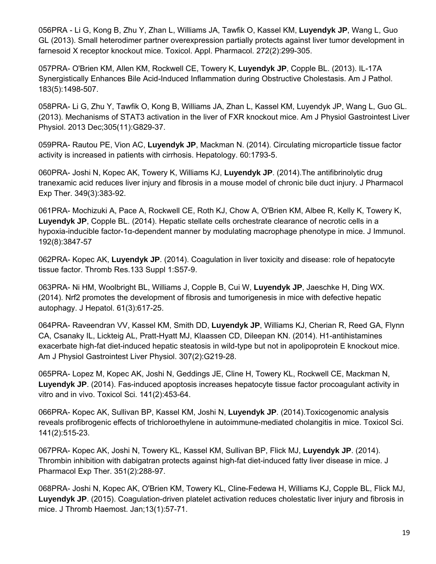056PRA - Li G, Kong B, Zhu Y, Zhan L, Williams JA, Tawfik O, Kassel KM, **Luyendyk JP**, Wang L, Guo GL (2013). Small heterodimer partner overexpression partially protects against liver tumor development in farnesoid X receptor knockout mice. Toxicol. Appl. Pharmacol. 272(2):299-305.

057PRA- O'Brien KM, Allen KM, Rockwell CE, Towery K, **Luyendyk JP**, Copple BL. (2013). IL-17A Synergistically Enhances Bile Acid-Induced Inflammation during Obstructive Cholestasis. Am J Pathol. 183(5):1498-507.

058PRA- Li G, Zhu Y, Tawfik O, Kong B, Williams JA, Zhan L, Kassel KM, Luyendyk JP, Wang L, Guo GL. (2013). Mechanisms of STAT3 activation in the liver of FXR knockout mice. Am J Physiol Gastrointest Liver Physiol. 2013 Dec;305(11):G829-37.

059PRA- Rautou PE, Vion AC, **Luyendyk JP**, Mackman N. (2014). Circulating microparticle tissue factor activity is increased in patients with cirrhosis. Hepatology. 60:1793-5.

060PRA- Joshi N, Kopec AK, Towery K, Williams KJ, **Luyendyk JP**. (2014).The antifibrinolytic drug tranexamic acid reduces liver injury and fibrosis in a mouse model of chronic bile duct injury. J Pharmacol Exp Ther. 349(3):383-92.

061PRA- Mochizuki A, Pace A, Rockwell CE, Roth KJ, Chow A, O'Brien KM, Albee R, Kelly K, Towery K, **Luyendyk JP**, Copple BL. (2014). Hepatic stellate cells orchestrate clearance of necrotic cells in a hypoxia-inducible factor-1α-dependent manner by modulating macrophage phenotype in mice. J Immunol. 192(8):3847-57

062PRA- Kopec AK, **Luyendyk JP**. (2014). Coagulation in liver toxicity and disease: role of hepatocyte tissue factor. Thromb Res.133 Suppl 1:S57-9.

063PRA- Ni HM, Woolbright BL, Williams J, Copple B, Cui W, **Luyendyk JP**, Jaeschke H, Ding WX. (2014). Nrf2 promotes the development of fibrosis and tumorigenesis in mice with defective hepatic autophagy. J Hepatol. 61(3):617-25.

064PRA- Raveendran VV, Kassel KM, Smith DD, **Luyendyk JP**, Williams KJ, Cherian R, Reed GA, Flynn CA, Csanaky IL, Lickteig AL, Pratt-Hyatt MJ, Klaassen CD, Dileepan KN. (2014). H1-antihistamines exacerbate high-fat diet-induced hepatic steatosis in wild-type but not in apolipoprotein E knockout mice. Am J Physiol Gastrointest Liver Physiol. 307(2):G219-28.

065PRA- Lopez M, Kopec AK, Joshi N, Geddings JE, Cline H, Towery KL, Rockwell CE, Mackman N, **Luyendyk JP**. (2014). Fas-induced apoptosis increases hepatocyte tissue factor procoagulant activity in vitro and in vivo. Toxicol Sci. 141(2):453-64.

066PRA- Kopec AK, Sullivan BP, Kassel KM, Joshi N, **Luyendyk JP**. (2014).Toxicogenomic analysis reveals profibrogenic effects of trichloroethylene in autoimmune-mediated cholangitis in mice. Toxicol Sci. 141(2):515-23.

067PRA- Kopec AK, Joshi N, Towery KL, Kassel KM, Sullivan BP, Flick MJ, **Luyendyk JP**. (2014). Thrombin inhibition with dabigatran protects against high-fat diet-induced fatty liver disease in mice. J Pharmacol Exp Ther. 351(2):288-97.

068PRA- Joshi N, Kopec AK, O'Brien KM, Towery KL, Cline-Fedewa H, Williams KJ, Copple BL, Flick MJ, **Luyendyk JP**. (2015). Coagulation-driven platelet activation reduces cholestatic liver injury and fibrosis in mice. J Thromb Haemost. Jan;13(1):57-71.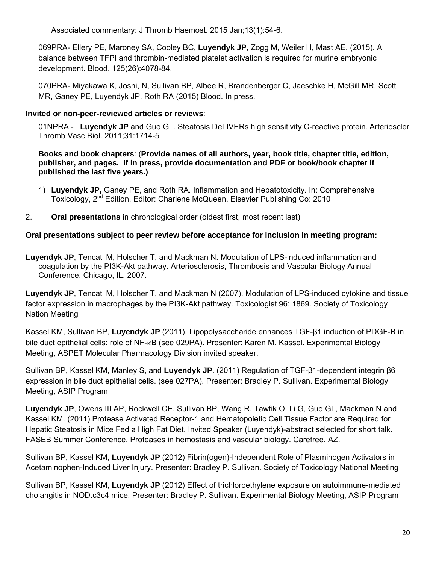Associated commentary: J Thromb Haemost. 2015 Jan;13(1):54-6.

069PRA- Ellery PE, Maroney SA, Cooley BC, **Luyendyk JP**, Zogg M, Weiler H, Mast AE. (2015). A balance between TFPI and thrombin-mediated platelet activation is required for murine embryonic development. Blood. 125(26):4078-84.

070PRA- Miyakawa K, Joshi, N, Sullivan BP, Albee R, Brandenberger C, Jaeschke H, McGill MR, Scott MR, Ganey PE, Luyendyk JP, Roth RA (2015) Blood. In press.

### **Invited or non-peer-reviewed articles or reviews**:

01NPRA - **Luyendyk JP** and Guo GL. Steatosis DeLIVERs high sensitivity C-reactive protein. Arterioscler Thromb Vasc Biol. 2011;31:1714-5

**Books and book chapters**: (**Provide names of all authors, year, book title, chapter title, edition, publisher, and pages. If in press, provide documentation and PDF or book/book chapter if published the last five years.)**

1) **Luyendyk JP,** Ganey PE, and Roth RA. Inflammation and Hepatotoxicity. In: Comprehensive Toxicology, 2<sup>nd</sup> Edition, Editor: Charlene McQueen. Elsevier Publishing Co: 2010

### 2. **Oral presentations** in chronological order (oldest first, most recent last)

### **Oral presentations subject to peer review before acceptance for inclusion in meeting program:**

**Luyendyk JP**, Tencati M, Holscher T, and Mackman N. Modulation of LPS-induced inflammation and coagulation by the PI3K-Akt pathway. Arteriosclerosis, Thrombosis and Vascular Biology Annual Conference. Chicago, IL. 2007.

**Luyendyk JP**, Tencati M, Holscher T, and Mackman N (2007). Modulation of LPS-induced cytokine and tissue factor expression in macrophages by the PI3K-Akt pathway. Toxicologist 96: 1869. Society of Toxicology Nation Meeting

Kassel KM, Sullivan BP, **Luyendyk JP** (2011). Lipopolysaccharide enhances TGF-β1 induction of PDGF-B in bile duct epithelial cells: role of NF-<sub>K</sub>B (see 029PA). Presenter: Karen M. Kassel. Experimental Biology Meeting, ASPET Molecular Pharmacology Division invited speaker.

Sullivan BP, Kassel KM, Manley S, and **Luyendyk JP**. (2011) Regulation of TGF-β1-dependent integrin β6 expression in bile duct epithelial cells. (see 027PA). Presenter: Bradley P. Sullivan. Experimental Biology Meeting, ASIP Program

**Luyendyk JP**, Owens III AP, Rockwell CE, Sullivan BP, Wang R, Tawfik O, Li G, Guo GL, Mackman N and Kassel KM. (2011) Protease Activated Receptor-1 and Hematopoietic Cell Tissue Factor are Required for Hepatic Steatosis in Mice Fed a High Fat Diet. Invited Speaker (Luyendyk)-abstract selected for short talk. FASEB Summer Conference. Proteases in hemostasis and vascular biology. Carefree, AZ.

Sullivan BP, Kassel KM, **Luyendyk JP** (2012) Fibrin(ogen)-Independent Role of Plasminogen Activators in Acetaminophen-Induced Liver Injury. Presenter: Bradley P. Sullivan. Society of Toxicology National Meeting

Sullivan BP, Kassel KM, **Luyendyk JP** (2012) Effect of trichloroethylene exposure on autoimmune-mediated cholangitis in NOD.c3c4 mice. Presenter: Bradley P. Sullivan. Experimental Biology Meeting, ASIP Program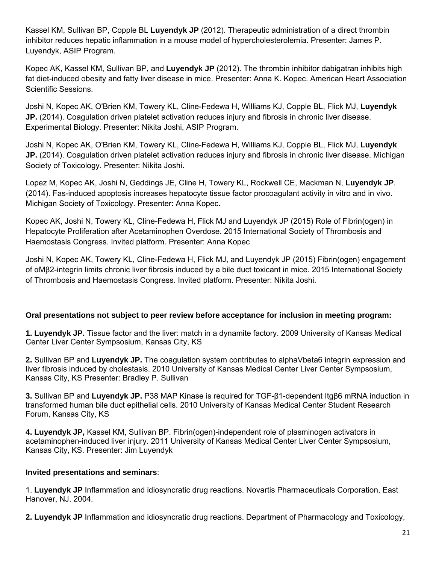Kassel KM, Sullivan BP, Copple BL **Luyendyk JP** (2012). Therapeutic administration of a direct thrombin inhibitor reduces hepatic inflammation in a mouse model of hypercholesterolemia. Presenter: James P. Luyendyk, ASIP Program.

Kopec AK, Kassel KM, Sullivan BP, and **Luyendyk JP** (2012). The thrombin inhibitor dabigatran inhibits high fat diet-induced obesity and fatty liver disease in mice. Presenter: Anna K. Kopec. American Heart Association Scientific Sessions.

Joshi N, Kopec AK, O'Brien KM, Towery KL, Cline-Fedewa H, Williams KJ, Copple BL, Flick MJ, **Luyendyk JP.** (2014). Coagulation driven platelet activation reduces injury and fibrosis in chronic liver disease. Experimental Biology. Presenter: Nikita Joshi, ASIP Program.

Joshi N, Kopec AK, O'Brien KM, Towery KL, Cline-Fedewa H, Williams KJ, Copple BL, Flick MJ, **Luyendyk JP.** (2014). Coagulation driven platelet activation reduces injury and fibrosis in chronic liver disease. Michigan Society of Toxicology. Presenter: Nikita Joshi.

Lopez M, Kopec AK, Joshi N, Geddings JE, Cline H, Towery KL, Rockwell CE, Mackman N, **Luyendyk JP**. (2014). Fas-induced apoptosis increases hepatocyte tissue factor procoagulant activity in vitro and in vivo. Michigan Society of Toxicology. Presenter: Anna Kopec.

Kopec AK, Joshi N, Towery KL, Cline-Fedewa H, Flick MJ and Luyendyk JP (2015) Role of Fibrin(ogen) in Hepatocyte Proliferation after Acetaminophen Overdose. 2015 International Society of Thrombosis and Haemostasis Congress. Invited platform. Presenter: Anna Kopec

Joshi N, Kopec AK, Towery KL, Cline-Fedewa H, Flick MJ, and Luyendyk JP (2015) Fibrin(ogen) engagement of αMβ2-integrin limits chronic liver fibrosis induced by a bile duct toxicant in mice. 2015 International Society of Thrombosis and Haemostasis Congress. Invited platform. Presenter: Nikita Joshi.

### **Oral presentations not subject to peer review before acceptance for inclusion in meeting program:**

**1. Luyendyk JP.** Tissue factor and the liver: match in a dynamite factory. 2009 University of Kansas Medical Center Liver Center Sympsosium, Kansas City, KS

**2.** Sullivan BP and **Luyendyk JP.** The coagulation system contributes to alphaVbeta6 integrin expression and liver fibrosis induced by cholestasis. 2010 University of Kansas Medical Center Liver Center Sympsosium, Kansas City, KS Presenter: Bradley P. Sullivan

**3.** Sullivan BP and **Luyendyk JP.** P38 MAP Kinase is required for TGF-β1-dependent Itgβ6 mRNA induction in transformed human bile duct epithelial cells. 2010 University of Kansas Medical Center Student Research Forum, Kansas City, KS

**4. Luyendyk JP,** Kassel KM, Sullivan BP. Fibrin(ogen)-independent role of plasminogen activators in acetaminophen-induced liver injury. 2011 University of Kansas Medical Center Liver Center Sympsosium, Kansas City, KS. Presenter: Jim Luyendyk

### **Invited presentations and seminars**:

1. **Luyendyk JP** Inflammation and idiosyncratic drug reactions. Novartis Pharmaceuticals Corporation, East Hanover, NJ. 2004.

**2. Luyendyk JP** Inflammation and idiosyncratic drug reactions. Department of Pharmacology and Toxicology,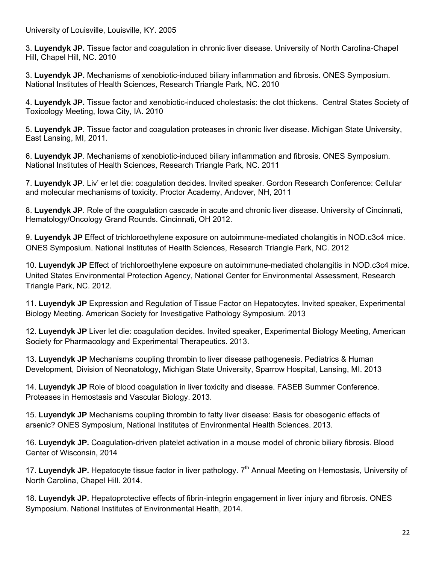University of Louisville, Louisville, KY. 2005

3. **Luyendyk JP.** Tissue factor and coagulation in chronic liver disease. University of North Carolina-Chapel Hill, Chapel Hill, NC. 2010

3. **Luyendyk JP.** Mechanisms of xenobiotic-induced biliary inflammation and fibrosis. ONES Symposium. National Institutes of Health Sciences, Research Triangle Park, NC. 2010

4. **Luyendyk JP.** Tissue factor and xenobiotic-induced cholestasis: the clot thickens. Central States Society of Toxicology Meeting, Iowa City, IA. 2010

5. **Luyendyk JP**. Tissue factor and coagulation proteases in chronic liver disease. Michigan State University, East Lansing, MI, 2011.

6. **Luyendyk JP**. Mechanisms of xenobiotic-induced biliary inflammation and fibrosis. ONES Symposium. National Institutes of Health Sciences, Research Triangle Park, NC. 2011

7. **Luyendyk JP**. Liv' er let die: coagulation decides. Invited speaker. Gordon Research Conference: Cellular and molecular mechanisms of toxicity. Proctor Academy, Andover, NH, 2011

8. **Luyendyk JP**. Role of the coagulation cascade in acute and chronic liver disease. University of Cincinnati, Hematology/Oncology Grand Rounds. Cincinnati, OH 2012.

9. **Luyendyk JP** Effect of trichloroethylene exposure on autoimmune-mediated cholangitis in NOD.c3c4 mice. ONES Symposium. National Institutes of Health Sciences, Research Triangle Park, NC. 2012

10. **Luyendyk JP** Effect of trichloroethylene exposure on autoimmune-mediated cholangitis in NOD.c3c4 mice. United States Environmental Protection Agency, National Center for Environmental Assessment, Research Triangle Park, NC. 2012.

11. **Luyendyk JP** Expression and Regulation of Tissue Factor on Hepatocytes. Invited speaker, Experimental Biology Meeting. American Society for Investigative Pathology Symposium. 2013

12. **Luyendyk JP** Liver let die: coagulation decides. Invited speaker, Experimental Biology Meeting, American Society for Pharmacology and Experimental Therapeutics. 2013.

13. **Luyendyk JP** Mechanisms coupling thrombin to liver disease pathogenesis. Pediatrics & Human Development, Division of Neonatology, Michigan State University, Sparrow Hospital, Lansing, MI. 2013

14. **Luyendyk JP** Role of blood coagulation in liver toxicity and disease. FASEB Summer Conference. Proteases in Hemostasis and Vascular Biology. 2013.

15. **Luyendyk JP** Mechanisms coupling thrombin to fatty liver disease: Basis for obesogenic effects of arsenic? ONES Symposium, National Institutes of Environmental Health Sciences. 2013.

16. **Luyendyk JP.** Coagulation-driven platelet activation in a mouse model of chronic biliary fibrosis. Blood Center of Wisconsin, 2014

17. Luyendyk JP. Hepatocyte tissue factor in liver pathology. 7<sup>th</sup> Annual Meeting on Hemostasis, University of North Carolina, Chapel Hill. 2014.

18. **Luyendyk JP.** Hepatoprotective effects of fibrin-integrin engagement in liver injury and fibrosis. ONES Symposium. National Institutes of Environmental Health, 2014.